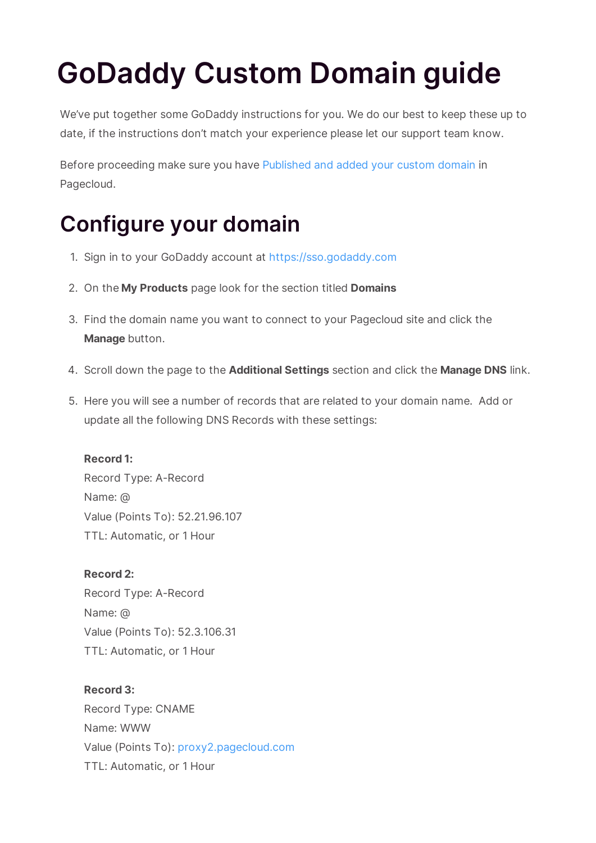# **GoDaddy Custom Domain guide**

We've put together some GoDaddy instructions for you. We do our best to keep these up to date, if the instructions don't match your experience please let our support team know.

Before proceeding make sure you have Published and added your custom domain in Pagecloud.

## **Configure your domain**

- 1. Sign in to your GoDaddy account at https://sso.godaddy.com
- 2. On the **My Products** page look for the section titled **Domains**
- 3. Find the domain name you want to connect to your Pagecloud site and click the **Manage** button.
- 4. Scroll down the page to the **Additional Settings** section and click the **Manage DNS** link.
- 5. Here you will see a number of records that are related to your domain name. Add or update all the following DNS Records with these settings:

#### **Record 1:**

Record Type: A-Record Name: @ Value (Points To): 52.21.96.107 TTL: Automatic, or 1 Hour

### **Record 2:**

Record Type: A-Record Name: @ Value (Points To): 52.3.106.31 TTL: Automatic, or 1 Hour

#### **Record 3:**

Record Type: CNAME Name: WWW Value (Points To): proxy2.pagecloud.com TTL: Automatic, or 1 Hour